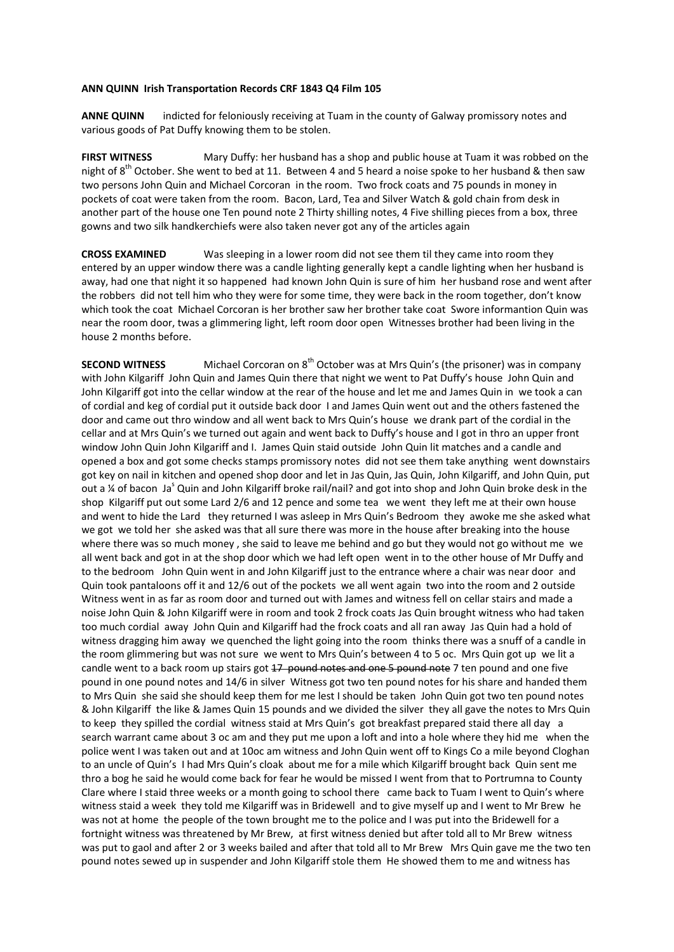## **ANN QUINN Irish Transportation Records CRF 1843 Q4 Film 105**

**ANNE QUINN** indicted for feloniously receiving at Tuam in the county of Galway promissory notes and various goods of Pat Duffy knowing them to be stolen.

**FIRST WITNESS**  Mary Duffy: her husband has a shop and public house at Tuam it was robbed on the night of 8<sup>th</sup> October. She went to bed at 11. Between 4 and 5 heard a noise spoke to her husband & then saw two persons John Quin and Michael Corcoran in the room. Two frock coats and 75 pounds in money in pockets of coat were taken from the room. Bacon, Lard, Tea and Silver Watch & gold chain from desk in another part of the house one Ten pound note 2 Thirty shilling notes, 4 Five shilling pieces from a box, three gowns and two silk handkerchiefs were also taken never got any of the articles again

**CROSS EXAMINED**  Was sleeping in a lower room did not see them til they came into room they entered by an upper window there was a candle lighting generally kept a candle lighting when her husband is away, had one that night it so happened had known John Quin is sure of him her husband rose and went after the robbers did not tell him who they were for some time, they were back in the room together, don't know which took the coat Michael Corcoran is her brother saw her brother take coat Swore informantion Quin was near the room door, twas a glimmering light, left room door open Witnesses brother had been living in the house 2 months before.

**SECOND WITNESS** Michael Corcoran on 8<sup>th</sup> October was at Mrs Quin's (the prisoner) was in company with John Kilgariff John Quin and James Quin there that night we went to Pat Duffy's house John Quin and John Kilgariff got into the cellar window at the rear of the house and let me and James Quin in we took a can of cordial and keg of cordial put it outside back door I and James Quin went out and the others fastened the door and came out thro window and all went back to Mrs Quin's house we drank part of the cordial in the cellar and at Mrs Quin's we turned out again and went back to Duffy's house and I got in thro an upper front window John Quin John Kilgariff and I. James Quin staid outside John Quin lit matches and a candle and opened a box and got some checks stamps promissory notes did not see them take anything went downstairs got key on nail in kitchen and opened shop door and let in Jas Quin, Jas Quin, John Kilgariff, and John Quin, put out a ¼ of bacon Ja<sup>s</sup> Quin and John Kilgariff broke rail/nail? and got into shop and John Quin broke desk in the shop Kilgariff put out some Lard 2/6 and 12 pence and some tea we went they left me at their own house and went to hide the Lard they returned I was asleep in Mrs Quin's Bedroom they awoke me she asked what we got we told her she asked was that all sure there was more in the house after breaking into the house where there was so much money , she said to leave me behind and go but they would not go without me we all went back and got in at the shop door which we had left open went in to the other house of Mr Duffy and to the bedroom John Quin went in and John Kilgariff just to the entrance where a chair was near door and Quin took pantaloons off it and 12/6 out of the pockets we all went again two into the room and 2 outside Witness went in as far as room door and turned out with James and witness fell on cellar stairs and made a noise John Quin & John Kilgariff were in room and took 2 frock coats Jas Quin brought witness who had taken too much cordial away John Quin and Kilgariff had the frock coats and all ran away Jas Quin had a hold of witness dragging him away we quenched the light going into the room thinks there was a snuff of a candle in the room glimmering but was not sure we went to Mrs Quin's between 4 to 5 oc. Mrs Quin got up we lit a candle went to a back room up stairs got 17 pound notes and one 5 pound note 7 ten pound and one five pound in one pound notes and 14/6 in silver Witness got two ten pound notes for his share and handed them to Mrs Quin she said she should keep them for me lest I should be taken John Quin got two ten pound notes & John Kilgariff the like & James Quin 15 pounds and we divided the silver they all gave the notes to Mrs Quin to keep they spilled the cordial witness staid at Mrs Quin's got breakfast prepared staid there all day a search warrant came about 3 oc am and they put me upon a loft and into a hole where they hid me when the police went I was taken out and at 10oc am witness and John Quin went off to Kings Co a mile beyond Cloghan to an uncle of Quin's I had Mrs Quin's cloak about me for a mile which Kilgariff brought back Quin sent me thro a bog he said he would come back for fear he would be missed I went from that to Portrumna to County Clare where I staid three weeks or a month going to school there came back to Tuam I went to Quin's where witness staid a week they told me Kilgariff was in Bridewell and to give myself up and I went to Mr Brew he was not at home the people of the town brought me to the police and I was put into the Bridewell for a fortnight witness was threatened by Mr Brew, at first witness denied but after told all to Mr Brew witness was put to gaol and after 2 or 3 weeks bailed and after that told all to Mr Brew Mrs Quin gave me the two ten pound notes sewed up in suspender and John Kilgariff stole them He showed them to me and witness has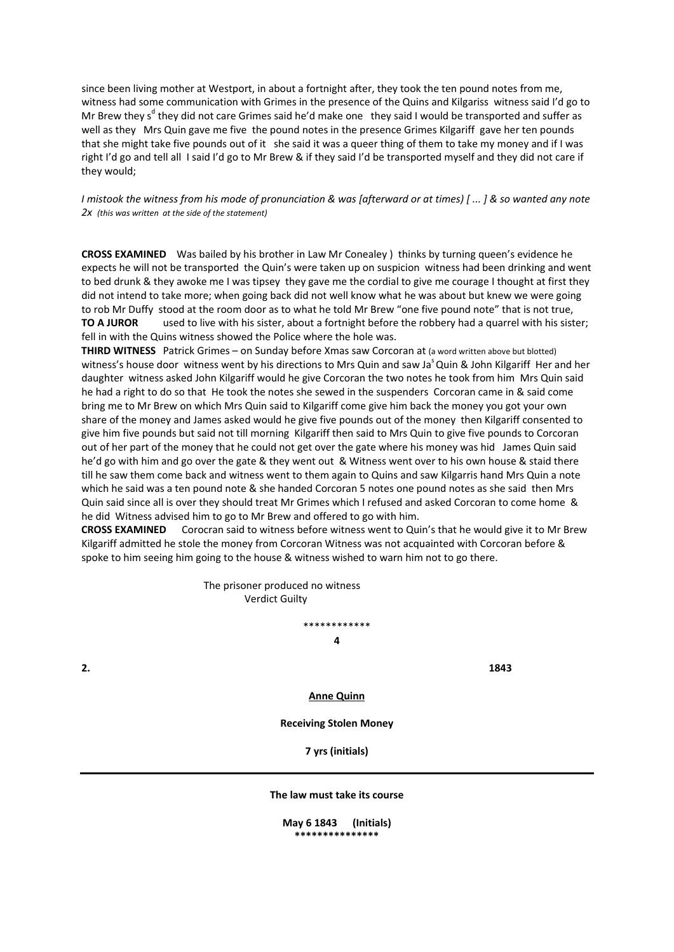since been living mother at Westport, in about a fortnight after, they took the ten pound notes from me, witness had some communication with Grimes in the presence of the Quins and Kilgariss witness said I'd go to Mr Brew they s<sup>d</sup> they did not care Grimes said he'd make one they said I would be transported and suffer as well as they Mrs Quin gave me five the pound notes in the presence Grimes Kilgariff gave her ten pounds that she might take five pounds out of it she said it was a queer thing of them to take my money and if I was right I'd go and tell all I said I'd go to Mr Brew & if they said I'd be transported myself and they did not care if they would;

I mistook the witness from his mode of pronunciation & was [afterward or at times) [...] & so wanted any note *2x (this was written at the side of the statement)*

**CROSS EXAMINED** Was bailed by his brother in Law Mr Conealey ) thinks by turning queen's evidence he expects he will not be transported the Quin's were taken up on suspicion witness had been drinking and went to bed drunk & they awoke me I was tipsey they gave me the cordial to give me courage I thought at first they did not intend to take more; when going back did not well know what he was about but knew we were going to rob Mr Duffy stood at the room door as to what he told Mr Brew "one five pound note" that is not true, **TO A JUROR** used to live with his sister, about a fortnight before the robbery had a quarrel with his sister; fell in with the Quins witness showed the Police where the hole was.

**THIRD WITNESS**  Patrick Grimes – on Sunday before Xmas saw Corcoran at (a word written above but blotted) witness's house door witness went by his directions to Mrs Quin and saw Ja<sup>s</sup> Quin & John Kilgariff Her and her daughter witness asked John Kilgariff would he give Corcoran the two notes he took from him Mrs Quin said he had a right to do so that He took the notes she sewed in the suspenders Corcoran came in & said come bring me to Mr Brew on which Mrs Quin said to Kilgariff come give him back the money you got your own share of the money and James asked would he give five pounds out of the money then Kilgariff consented to give him five pounds but said not till morning Kilgariff then said to Mrs Quin to give five pounds to Corcoran out of her part of the money that he could not get over the gate where his money was hid James Quin said he'd go with him and go over the gate & they went out & Witness went over to his own house & staid there till he saw them come back and witness went to them again to Quins and saw Kilgarris hand Mrs Quin a note which he said was a ten pound note & she handed Corcoran 5 notes one pound notes as she said then Mrs Quin said since all is over they should treat Mr Grimes which I refused and asked Corcoran to come home & he did Witness advised him to go to Mr Brew and offered to go with him.

**CROSS EXAMINED** Corocran said to witness before witness went to Quin's that he would give it to Mr Brew Kilgariff admitted he stole the money from Corcoran Witness was not acquainted with Corcoran before & spoke to him seeing him going to the house & witness wished to warn him not to go there.

> The prisoner produced no witness Verdict Guilty

> > \*\*\*\*\*\*\*\*\*\*\*\* **4**

**2. 1843**

**Anne Quinn**

**Receiving Stolen Money**

**7 yrs (initials)**

**The law must take its course**

**May 6 1843 (Initials) \*\*\*\*\*\*\*\*\*\*\*\*\*\*\***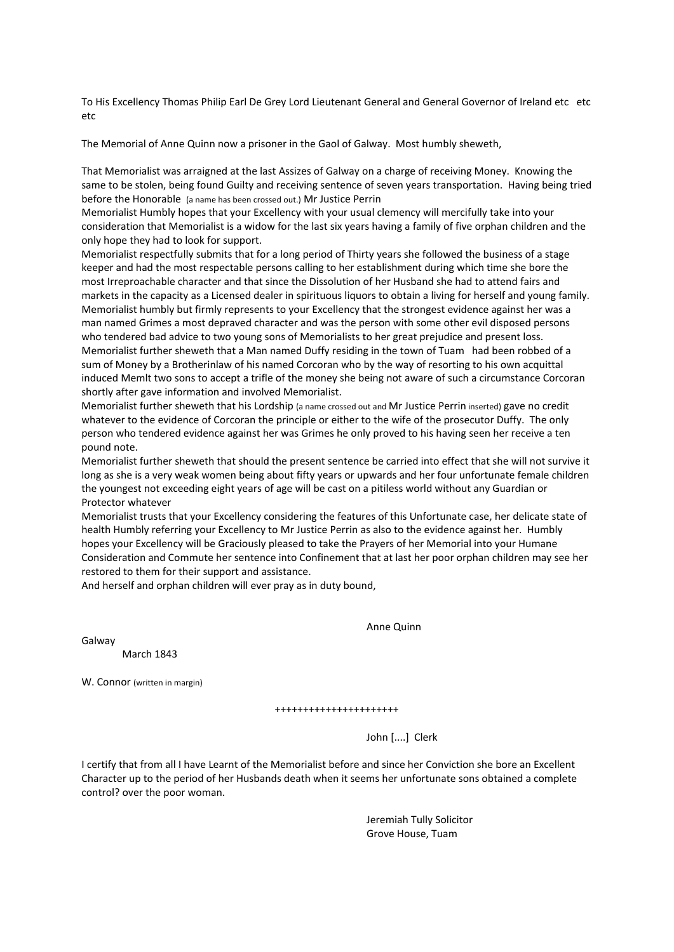To His Excellency Thomas Philip Earl De Grey Lord Lieutenant General and General Governor of Ireland etc etc etc

The Memorial of Anne Quinn now a prisoner in the Gaol of Galway. Most humbly sheweth,

That Memorialist was arraigned at the last Assizes of Galway on a charge of receiving Money. Knowing the same to be stolen, being found Guilty and receiving sentence of seven years transportation. Having being tried before the Honorable (a name has been crossed out.) Mr Justice Perrin

Memorialist Humbly hopes that your Excellency with your usual clemency will mercifully take into your consideration that Memorialist is a widow for the last six years having a family of five orphan children and the only hope they had to look for support.

Memorialist respectfully submits that for a long period of Thirty years she followed the business of a stage keeper and had the most respectable persons calling to her establishment during which time she bore the most Irreproachable character and that since the Dissolution of her Husband she had to attend fairs and markets in the capacity as a Licensed dealer in spirituous liquors to obtain a living for herself and young family. Memorialist humbly but firmly represents to your Excellency that the strongest evidence against her was a man named Grimes a most depraved character and was the person with some other evil disposed persons who tendered bad advice to two young sons of Memorialists to her great prejudice and present loss. Memorialist further sheweth that a Man named Duffy residing in the town of Tuam had been robbed of a sum of Money by a Brotherinlaw of his named Corcoran who by the way of resorting to his own acquittal induced Memlt two sons to accept a trifle of the money she being not aware of such a circumstance Corcoran shortly after gave information and involved Memorialist.

Memorialist further sheweth that his Lordship (a name crossed out and Mr Justice Perrin inserted) gave no credit whatever to the evidence of Corcoran the principle or either to the wife of the prosecutor Duffy. The only person who tendered evidence against her was Grimes he only proved to his having seen her receive a ten pound note.

Memorialist further sheweth that should the present sentence be carried into effect that she will not survive it long as she is a very weak women being about fifty years or upwards and her four unfortunate female children the youngest not exceeding eight years of age will be cast on a pitiless world without any Guardian or Protector whatever

Memorialist trusts that your Excellency considering the features of this Unfortunate case, her delicate state of health Humbly referring your Excellency to Mr Justice Perrin as also to the evidence against her. Humbly hopes your Excellency will be Graciously pleased to take the Prayers of her Memorial into your Humane Consideration and Commute her sentence into Confinement that at last her poor orphan children may see her restored to them for their support and assistance.

And herself and orphan children will ever pray as in duty bound,

Galway

March 1843

W. Connor (written in margin)

++++++++++++++++++++++

John [....] Clerk

Anne Quinn

I certify that from all I have Learnt of the Memorialist before and since her Conviction she bore an Excellent Character up to the period of her Husbands death when it seems her unfortunate sons obtained a complete control? over the poor woman.

> Jeremiah Tully Solicitor Grove House, Tuam